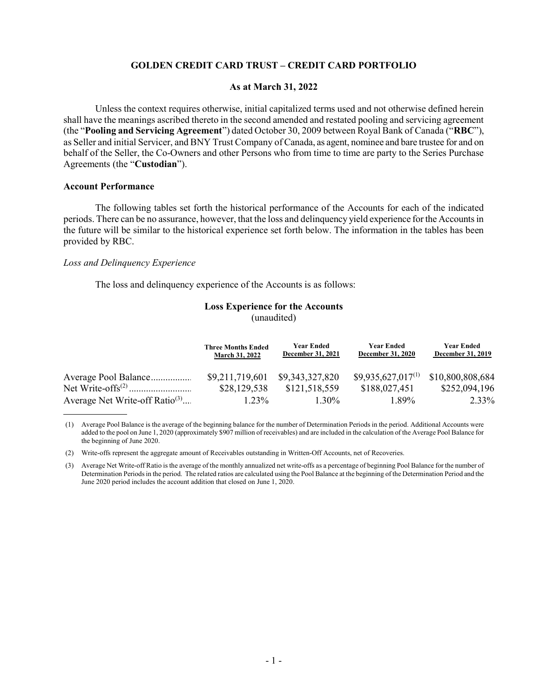# GOLDEN CREDIT CARD TRUST – CREDIT CARD PORTFOLIO

# As at March 31, 2022

Unless the context requires otherwise, initial capitalized terms used and not otherwise defined herein shall have the meanings ascribed thereto in the second amended and restated pooling and servicing agreement (the "Pooling and Servicing Agreement") dated October 30, 2009 between Royal Bank of Canada ("RBC"), as Seller and initial Servicer, and BNY Trust Company of Canada, as agent, nominee and bare trustee for and on behalf of the Seller, the Co-Owners and other Persons who from time to time are party to the Series Purchase Agreements (the "Custodian").

#### Account Performance

 $\overline{a}$ 

The following tables set forth the historical performance of the Accounts for each of the indicated periods. There can be no assurance, however, that the loss and delinquency yield experience for the Accounts in the future will be similar to the historical experience set forth below. The information in the tables has been provided by RBC.

#### Loss and Delinquency Experience

The loss and delinquency experience of the Accounts is as follows:

#### Loss Experience for the Accounts (unaudited)

|                                            | <b>Three Months Ended</b><br><b>March 31, 2022</b> | <b>Year Ended</b><br>December 31, 2021 | <b>Year Ended</b><br><b>December 31, 2020</b> | <b>Year Ended</b><br>December 31, 2019 |
|--------------------------------------------|----------------------------------------------------|----------------------------------------|-----------------------------------------------|----------------------------------------|
| Average Pool Balance                       | \$9,211,719,601                                    | \$9,343,327,820                        | $$9,935,627,017^{(1)}$                        | \$10,800,808,684                       |
|                                            | \$28,129,538                                       | \$121,518,559                          | \$188,027,451                                 | \$252,094,196                          |
| Average Net Write-off Ratio <sup>(3)</sup> | $1.23\%$                                           | $1.30\%$                               | 1.89%                                         | 2.33%                                  |

(1) Average Pool Balance is the average of the beginning balance for the number of Determination Periods in the period. Additional Accounts were added to the pool on June 1, 2020 (approximately \$907 million of receivables) and are included in the calculation of the Average Pool Balance for the beginning of June 2020.

(2) Write-offs represent the aggregate amount of Receivables outstanding in Written-Off Accounts, net of Recoveries.

(3) Average Net Write-off Ratio is the average of the monthly annualized net write-offs as a percentage of beginning Pool Balance for the number of Determination Periods in the period. The related ratios are calculated using the Pool Balance at the beginning of the Determination Period and the June 2020 period includes the account addition that closed on June 1, 2020.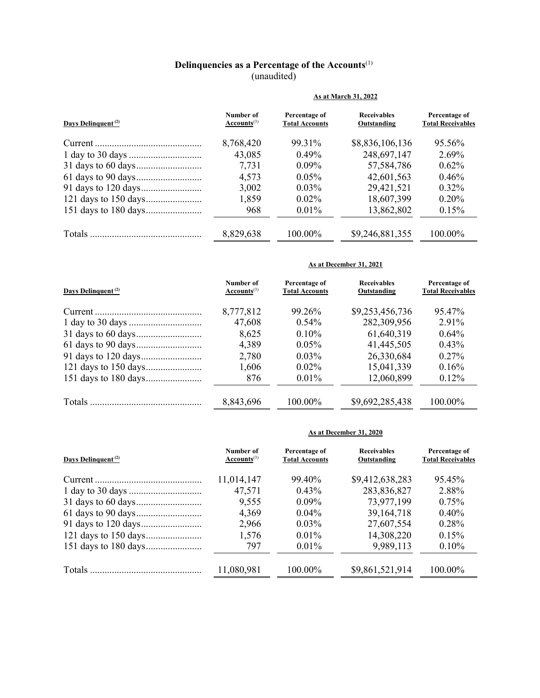# Delinquencies as a Percentage of the Accounts $^{(1)}$ (unaudited)

|                                | As at March 31, 2022          |                                        |                                   |                                           |  |
|--------------------------------|-------------------------------|----------------------------------------|-----------------------------------|-------------------------------------------|--|
| Days Delinquent <sup>(2)</sup> | Number of<br>$Accounts^{(3)}$ | Percentage of<br><b>Total Accounts</b> | <b>Receivables</b><br>Outstanding | Percentage of<br><b>Total Receivables</b> |  |
|                                | 8,768,420                     | 99.31%                                 | \$8,836,106,136                   | 95.56%                                    |  |
|                                | 43,085                        | $0.49\%$                               | 248,697,147                       | 2.69%                                     |  |
|                                | 7,731                         | $0.09\%$                               | 57,584,786                        | 0.62%                                     |  |
|                                | 4,573                         | $0.05\%$                               | 42,601,563                        | $0.46\%$                                  |  |
|                                | 3,002                         | $0.03\%$                               | 29,421,521                        | $0.32\%$                                  |  |
|                                | 1,859                         | $0.02\%$                               | 18,607,399                        | $0.20\%$                                  |  |
|                                | 968                           | $0.01\%$                               | 13,862,802                        | 0.15%                                     |  |
|                                | 8,829,638                     | 100.00%                                | \$9,246,881,355                   | $100.00\%$                                |  |

#### As at December 31, 2021

| Days Delinquent <sup>(2)</sup> | Number of<br>$Accounts^{(3)}$ | Percentage of<br><b>Total Accounts</b> | <b>Receivables</b><br>Outstanding | Percentage of<br><b>Total Receivables</b> |
|--------------------------------|-------------------------------|----------------------------------------|-----------------------------------|-------------------------------------------|
|                                | 8,777,812                     | 99.26%                                 | \$9,253,456,736                   | 95.47%                                    |
|                                | 47,608                        | $0.54\%$                               | 282,309,956                       | 2.91%                                     |
|                                | 8,625                         | $0.10\%$                               | 61,640,319                        | $0.64\%$                                  |
|                                | 4,389                         | $0.05\%$                               | 41,445,505                        | 0.43%                                     |
|                                | 2,780                         | $0.03\%$                               | 26,330,684                        | $0.27\%$                                  |
|                                | 1,606                         | $0.02\%$                               | 15,041,339                        | 0.16%                                     |
|                                | 876                           | $0.01\%$                               | 12,060,899                        | $0.12\%$                                  |
|                                |                               |                                        |                                   |                                           |
|                                | 8,843,696                     | $100.00\%$                             | \$9,692,285,438                   | 100.00%                                   |

# As at December 31, 2020

| Days Delinquent <sup>(2)</sup> | Number of<br>$Accounts^{(3)}$ | Percentage of<br><b>Total Accounts</b> | <b>Receivables</b><br>Outstanding | Percentage of<br><b>Total Receivables</b> |
|--------------------------------|-------------------------------|----------------------------------------|-----------------------------------|-------------------------------------------|
|                                | 11,014,147                    | 99.40%                                 | \$9,412,638,283                   | 95.45%                                    |
|                                | 47,571                        | $0.43\%$                               | 283,836,827                       | 2.88%                                     |
|                                | 9,555                         | $0.09\%$                               | 73,977,199                        | 0.75%                                     |
|                                | 4,369                         | $0.04\%$                               | 39, 164, 718                      | $0.40\%$                                  |
|                                | 2,966                         | $0.03\%$                               | 27,607,554                        | 0.28%                                     |
|                                | 1,576                         | $0.01\%$                               | 14,308,220                        | $0.15\%$                                  |
|                                | 797                           | 0.01%                                  | 9,989,113                         | 0.10%                                     |
|                                | 11,080,981                    | $100.00\%$                             | \$9,861,521,914                   | $100.00\%$                                |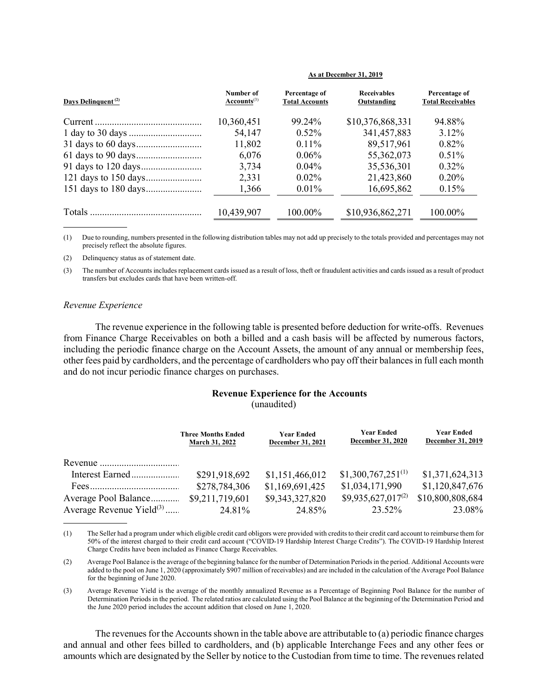| Days Delinquent <sup>(2)</sup> | Number of<br>$Accounts^{(3)}$ | Percentage of<br><b>Total Accounts</b> | <b>Receivables</b><br>Outstanding | Percentage of<br><b>Total Receivables</b> |
|--------------------------------|-------------------------------|----------------------------------------|-----------------------------------|-------------------------------------------|
|                                | 10,360,451                    | 99.24%                                 | \$10,376,868,331                  | 94.88%                                    |
|                                | 54,147                        | $0.52\%$                               | 341, 457, 883                     | $3.12\%$                                  |
|                                | 11,802                        | $0.11\%$                               | 89,517,961                        | $0.82\%$                                  |
|                                | 6,076                         | $0.06\%$                               | 55,362,073                        | $0.51\%$                                  |
|                                | 3,734                         | $0.04\%$                               | 35,536,301                        | $0.32\%$                                  |
|                                | 2,331                         | $0.02\%$                               | 21,423,860                        | 0.20%                                     |
|                                | 1,366                         | $0.01\%$                               | 16,695,862                        | 0.15%                                     |
|                                | 10,439,907                    | $100.00\%$                             | \$10,936,862,271                  | $100.00\%$                                |
|                                |                               |                                        |                                   |                                           |

#### As at December 31, 2019

(1) Due to rounding, numbers presented in the following distribution tables may not add up precisely to the totals provided and percentages may not precisely reflect the absolute figures.

(2) Delinquency status as of statement date.

(3) The number of Accounts includes replacement cards issued as a result of loss, theft or fraudulent activities and cards issued as a result of product transfers but excludes cards that have been written-off.

#### Revenue Experience

 $\overline{a}$ 

The revenue experience in the following table is presented before deduction for write-offs. Revenues from Finance Charge Receivables on both a billed and a cash basis will be affected by numerous factors, including the periodic finance charge on the Account Assets, the amount of any annual or membership fees, other fees paid by cardholders, and the percentage of cardholders who pay off their balances in full each month and do not incur periodic finance charges on purchases.

#### Revenue Experience for the Accounts (unaudited)

|                               | <b>Three Months Ended</b><br><b>March 31, 2022</b> | <b>Year Ended</b><br>December 31, 2021 | <b>Year Ended</b><br>December 31, 2020 | <b>Year Ended</b><br>December 31, 2019 |
|-------------------------------|----------------------------------------------------|----------------------------------------|----------------------------------------|----------------------------------------|
|                               |                                                    |                                        |                                        |                                        |
| Interest Earned               | \$291,918,692                                      | \$1,151,466,012                        | $$1,300,767,251^{(1)}$                 | \$1,371,624,313                        |
|                               | \$278,784,306                                      | \$1,169,691,425                        | \$1,034,171,990                        | \$1,120,847,676                        |
| Average Pool Balance          | \$9,211,719,601                                    | \$9,343,327,820                        | $$9,935,627,017^{(2)}$                 | \$10,800,808,684                       |
| Average Revenue $Yield^{(3)}$ | 24.81%                                             | 24.85%                                 | 23.52%                                 | 23.08%                                 |

<sup>(1)</sup> The Seller had a program under which eligible credit card obligors were provided with credits to their credit card account to reimburse them for 50% of the interest charged to their credit card account ("COVID-19 Hardship Interest Charge Credits"). The COVID-19 Hardship Interest Charge Credits have been included as Finance Charge Receivables.

(2) Average Pool Balance is the average of the beginning balance for the number of Determination Periods in the period. Additional Accounts were added to the pool on June 1, 2020 (approximately \$907 million of receivables) and are included in the calculation of the Average Pool Balance for the beginning of June 2020.

(3) Average Revenue Yield is the average of the monthly annualized Revenue as a Percentage of Beginning Pool Balance for the number of Determination Periods in the period. The related ratios are calculated using the Pool Balance at the beginning of the Determination Period and the June 2020 period includes the account addition that closed on June 1, 2020.

The revenues for the Accounts shown in the table above are attributable to (a) periodic finance charges and annual and other fees billed to cardholders, and (b) applicable Interchange Fees and any other fees or amounts which are designated by the Seller by notice to the Custodian from time to time. The revenues related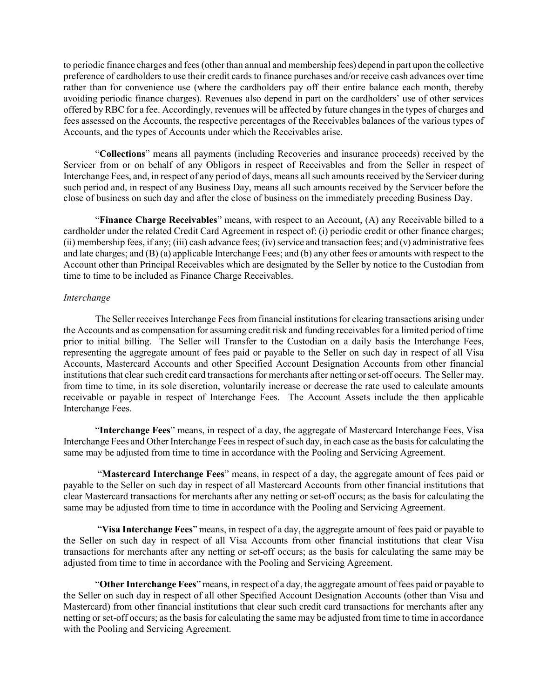to periodic finance charges and fees (other than annual and membership fees) depend in part upon the collective preference of cardholders to use their credit cards to finance purchases and/or receive cash advances over time rather than for convenience use (where the cardholders pay off their entire balance each month, thereby avoiding periodic finance charges). Revenues also depend in part on the cardholders' use of other services offered by RBC for a fee. Accordingly, revenues will be affected by future changes in the types of charges and fees assessed on the Accounts, the respective percentages of the Receivables balances of the various types of Accounts, and the types of Accounts under which the Receivables arise.

"Collections" means all payments (including Recoveries and insurance proceeds) received by the Servicer from or on behalf of any Obligors in respect of Receivables and from the Seller in respect of Interchange Fees, and, in respect of any period of days, means all such amounts received by the Servicer during such period and, in respect of any Business Day, means all such amounts received by the Servicer before the close of business on such day and after the close of business on the immediately preceding Business Day.

"Finance Charge Receivables" means, with respect to an Account, (A) any Receivable billed to a cardholder under the related Credit Card Agreement in respect of: (i) periodic credit or other finance charges; (ii) membership fees, if any; (iii) cash advance fees; (iv) service and transaction fees; and (v) administrative fees and late charges; and (B) (a) applicable Interchange Fees; and (b) any other fees or amounts with respect to the Account other than Principal Receivables which are designated by the Seller by notice to the Custodian from time to time to be included as Finance Charge Receivables.

# Interchange

The Seller receives Interchange Fees from financial institutions for clearing transactions arising under the Accounts and as compensation for assuming credit risk and funding receivables for a limited period of time prior to initial billing. The Seller will Transfer to the Custodian on a daily basis the Interchange Fees, representing the aggregate amount of fees paid or payable to the Seller on such day in respect of all Visa Accounts, Mastercard Accounts and other Specified Account Designation Accounts from other financial institutions that clear such credit card transactions for merchants after netting or set-off occurs. The Seller may, from time to time, in its sole discretion, voluntarily increase or decrease the rate used to calculate amounts receivable or payable in respect of Interchange Fees. The Account Assets include the then applicable Interchange Fees.

"Interchange Fees" means, in respect of a day, the aggregate of Mastercard Interchange Fees, Visa Interchange Fees and Other Interchange Fees in respect of such day, in each case as the basis for calculating the same may be adjusted from time to time in accordance with the Pooling and Servicing Agreement.

 "Mastercard Interchange Fees" means, in respect of a day, the aggregate amount of fees paid or payable to the Seller on such day in respect of all Mastercard Accounts from other financial institutions that clear Mastercard transactions for merchants after any netting or set-off occurs; as the basis for calculating the same may be adjusted from time to time in accordance with the Pooling and Servicing Agreement.

 "Visa Interchange Fees" means, in respect of a day, the aggregate amount of fees paid or payable to the Seller on such day in respect of all Visa Accounts from other financial institutions that clear Visa transactions for merchants after any netting or set-off occurs; as the basis for calculating the same may be adjusted from time to time in accordance with the Pooling and Servicing Agreement.

"Other Interchange Fees" means, in respect of a day, the aggregate amount of fees paid or payable to the Seller on such day in respect of all other Specified Account Designation Accounts (other than Visa and Mastercard) from other financial institutions that clear such credit card transactions for merchants after any netting or set-off occurs; as the basis for calculating the same may be adjusted from time to time in accordance with the Pooling and Servicing Agreement.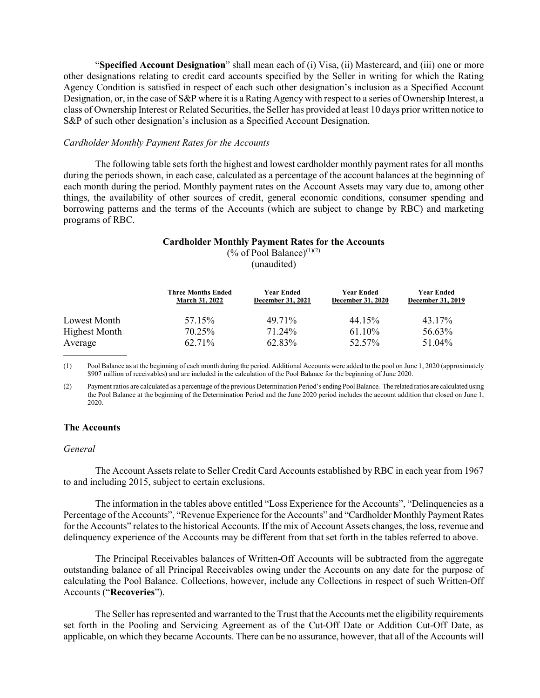"Specified Account Designation" shall mean each of (i) Visa, (ii) Mastercard, and (iii) one or more other designations relating to credit card accounts specified by the Seller in writing for which the Rating Agency Condition is satisfied in respect of each such other designation's inclusion as a Specified Account Designation, or, in the case of S&P where it is a Rating Agency with respect to a series of Ownership Interest, a class of Ownership Interest or Related Securities, the Seller has provided at least 10 days prior written notice to S&P of such other designation's inclusion as a Specified Account Designation.

#### Cardholder Monthly Payment Rates for the Accounts

The following table sets forth the highest and lowest cardholder monthly payment rates for all months during the periods shown, in each case, calculated as a percentage of the account balances at the beginning of each month during the period. Monthly payment rates on the Account Assets may vary due to, among other things, the availability of other sources of credit, general economic conditions, consumer spending and borrowing patterns and the terms of the Accounts (which are subject to change by RBC) and marketing programs of RBC.

# Cardholder Monthly Payment Rates for the Accounts

(% of Pool Balance) $(1)(2)$ (unaudited)

|                      | <b>Three Months Ended</b><br><b>March 31, 2022</b> | <b>Year Ended</b><br>December 31, 2021 | <b>Year Ended</b><br><b>December 31, 2020</b> | Year Ended<br><b>December 31, 2019</b> |
|----------------------|----------------------------------------------------|----------------------------------------|-----------------------------------------------|----------------------------------------|
| Lowest Month         | 57.15%                                             | 49.71%                                 | 44.15%                                        | 43.17%                                 |
| <b>Highest Month</b> | 70.25%                                             | 71.24%                                 | $61.10\%$                                     | 56.63%                                 |
| Average              | 62.71%                                             | 62.83%                                 | 52.57%                                        | 51.04%                                 |
|                      |                                                    |                                        |                                               |                                        |

(1) Pool Balance as at the beginning of each month during the period. Additional Accounts were added to the pool on June 1, 2020 (approximately \$907 million of receivables) and are included in the calculation of the Pool Balance for the beginning of June 2020.

(2) Payment ratios are calculated as a percentage of the previous Determination Period's ending Pool Balance. The related ratios are calculated using the Pool Balance at the beginning of the Determination Period and the June 2020 period includes the account addition that closed on June 1, 2020.

## The Accounts

#### General

The Account Assets relate to Seller Credit Card Accounts established by RBC in each year from 1967 to and including 2015, subject to certain exclusions.

The information in the tables above entitled "Loss Experience for the Accounts", "Delinquencies as a Percentage of the Accounts", "Revenue Experience for the Accounts" and "Cardholder Monthly Payment Rates for the Accounts" relates to the historical Accounts. If the mix of Account Assets changes, the loss, revenue and delinquency experience of the Accounts may be different from that set forth in the tables referred to above.

The Principal Receivables balances of Written-Off Accounts will be subtracted from the aggregate outstanding balance of all Principal Receivables owing under the Accounts on any date for the purpose of calculating the Pool Balance. Collections, however, include any Collections in respect of such Written-Off Accounts ("Recoveries").

The Seller has represented and warranted to the Trust that the Accounts met the eligibility requirements set forth in the Pooling and Servicing Agreement as of the Cut-Off Date or Addition Cut-Off Date, as applicable, on which they became Accounts. There can be no assurance, however, that all of the Accounts will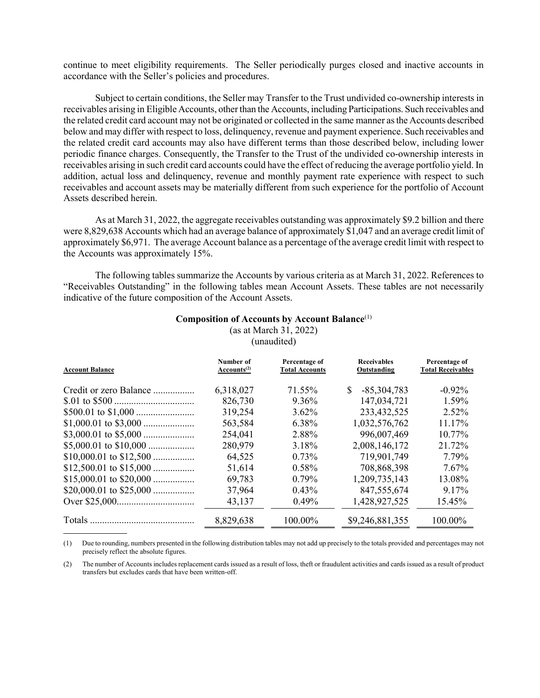continue to meet eligibility requirements. The Seller periodically purges closed and inactive accounts in accordance with the Seller's policies and procedures.

Subject to certain conditions, the Seller may Transfer to the Trust undivided co-ownership interests in receivables arising in Eligible Accounts, other than the Accounts, including Participations. Such receivables and the related credit card account may not be originated or collected in the same manner as the Accounts described below and may differ with respect to loss, delinquency, revenue and payment experience. Such receivables and the related credit card accounts may also have different terms than those described below, including lower periodic finance charges. Consequently, the Transfer to the Trust of the undivided co-ownership interests in receivables arising in such credit card accounts could have the effect of reducing the average portfolio yield. In addition, actual loss and delinquency, revenue and monthly payment rate experience with respect to such receivables and account assets may be materially different from such experience for the portfolio of Account Assets described herein.

As at March 31, 2022, the aggregate receivables outstanding was approximately \$9.2 billion and there were 8,829,638 Accounts which had an average balance of approximately \$1,047 and an average credit limit of approximately \$6,971. The average Account balance as a percentage of the average credit limit with respect to the Accounts was approximately 15%.

The following tables summarize the Accounts by various criteria as at March 31, 2022. References to "Receivables Outstanding" in the following tables mean Account Assets. These tables are not necessarily indicative of the future composition of the Account Assets.

# Composition of Accounts by Account Balance(1)

(as at March 31, 2022)

(unaudited)

| <b>Account Balance</b> | Number of<br>Accounts <sup>(2)</sup> | Percentage of<br><b>Total Accounts</b> | <b>Receivables</b><br>Outstanding | Percentage of<br><b>Total Receivables</b> |
|------------------------|--------------------------------------|----------------------------------------|-----------------------------------|-------------------------------------------|
| Credit or zero Balance | 6,318,027                            | 71.55%                                 | $-85,304,783$<br><sup>S</sup>     | $-0.92\%$                                 |
|                        | 826,730                              | $9.36\%$                               | 147,034,721                       | $1.59\%$                                  |
|                        | 319,254                              | $3.62\%$                               | 233,432,525                       | $2.52\%$                                  |
|                        | 563,584                              | 6.38%                                  | 1,032,576,762                     | 11.17%                                    |
|                        | 254,041                              | 2.88%                                  | 996,007,469                       | $10.77\%$                                 |
|                        | 280,979                              | 3.18%                                  | 2,008,146,172                     | 21.72%                                    |
|                        | 64,525                               | $0.73\%$                               | 719,901,749                       | 7.79%                                     |
|                        | 51,614                               | $0.58\%$                               | 708,868,398                       | $7.67\%$                                  |
|                        | 69,783                               | $0.79\%$                               | 1,209,735,143                     | 13.08%                                    |
|                        | 37,964                               | $0.43\%$                               | 847,555,674                       | 9.17%                                     |
|                        | 43,137                               | 0.49%                                  | 1,428,927,525                     | 15.45%                                    |
|                        | 8,829,638                            | 100.00%                                | \$9,246,881,355                   | 100.00%                                   |

(1) Due to rounding, numbers presented in the following distribution tables may not add up precisely to the totals provided and percentages may not precisely reflect the absolute figures.

 $\overline{\phantom{a}}$ 

(2) The number of Accounts includes replacement cards issued as a result of loss, theft or fraudulent activities and cards issued as a result of product transfers but excludes cards that have been written-off.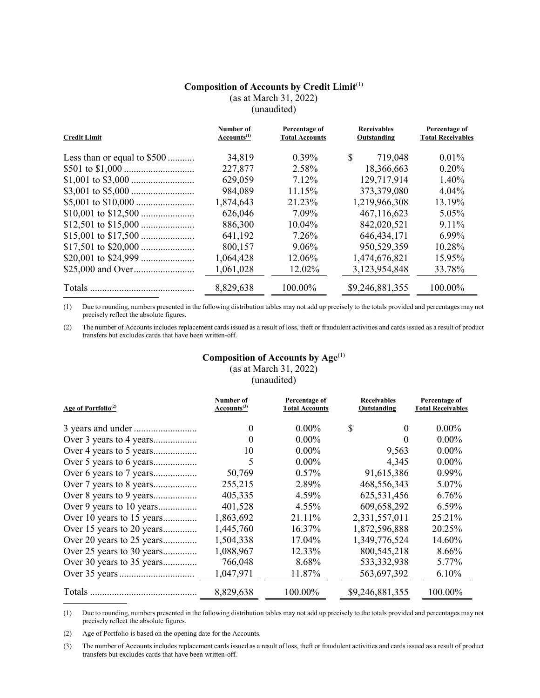# Composition of Accounts by Credit Limit(1)

(as at March 31, 2022)

(unaudited)

| <b>Credit Limit</b>         | Number of<br>Accounts <sup>(1)</sup> | Percentage of<br><b>Total Accounts</b> | <b>Receivables</b><br>Outstanding | Percentage of<br><b>Total Receivables</b> |
|-----------------------------|--------------------------------------|----------------------------------------|-----------------------------------|-------------------------------------------|
| Less than or equal to \$500 | 34,819                               | $0.39\%$                               | S.<br>719,048                     | $0.01\%$                                  |
|                             | 227,877                              | 2.58%                                  | 18,366,663                        | $0.20\%$                                  |
|                             | 629,059                              | 7.12%                                  | 129,717,914                       | 1.40%                                     |
|                             | 984,089                              | 11.15%                                 | 373,379,080                       | $4.04\%$                                  |
|                             | 1,874,643                            | 21.23%                                 | 1,219,966,308                     | 13.19%                                    |
|                             | 626,046                              | 7.09%                                  | 467,116,623                       | 5.05%                                     |
|                             | 886,300                              | 10.04%                                 | 842,020,521                       | 9.11%                                     |
|                             | 641,192                              | 7.26%                                  | 646, 434, 171                     | 6.99%                                     |
|                             | 800,157                              | $9.06\%$                               | 950,529,359                       | 10.28%                                    |
|                             | 1,064,428                            | 12.06%                                 | 1,474,676,821                     | 15.95%                                    |
|                             | 1,061,028                            | 12.02%                                 | 3,123,954,848                     | 33.78%                                    |
|                             | 8,829,638                            | $100.00\%$                             | \$9,246,881,355                   | 100.00%                                   |

(1) Due to rounding, numbers presented in the following distribution tables may not add up precisely to the totals provided and percentages may not precisely reflect the absolute figures.

(2) The number of Accounts includes replacement cards issued as a result of loss, theft or fraudulent activities and cards issued as a result of product transfers but excludes cards that have been written-off.

# Composition of Accounts by Age<sup>(1)</sup>

|  |  | (as at March 31, 2022) |  |
|--|--|------------------------|--|
|  |  |                        |  |

(unaudited)

| Age of Portfolio <sup>(2)</sup> | Number of<br>Accounts <sup>(3)</sup> | Percentage of<br><b>Total Accounts</b> | <b>Receivables</b><br>Outstanding | Percentage of<br><b>Total Receivables</b> |
|---------------------------------|--------------------------------------|----------------------------------------|-----------------------------------|-------------------------------------------|
|                                 | $\theta$                             | $0.00\%$                               | \$<br>$\theta$                    | $0.00\%$                                  |
| Over 3 years to 4 years         | $\theta$                             | $0.00\%$                               | 0                                 | $0.00\%$                                  |
|                                 | 10                                   | $0.00\%$                               | 9,563                             | $0.00\%$                                  |
|                                 | 5                                    | $0.00\%$                               | 4,345                             | $0.00\%$                                  |
|                                 | 50,769                               | $0.57\%$                               | 91,615,386                        | $0.99\%$                                  |
|                                 | 255,215                              | 2.89%                                  | 468,556,343                       | 5.07%                                     |
| Over 8 years to 9 years         | 405,335                              | 4.59%                                  | 625,531,456                       | 6.76%                                     |
| Over 9 years to 10 years        | 401,528                              | $4.55\%$                               | 609,658,292                       | $6.59\%$                                  |
| Over 10 years to 15 years       | 1,863,692                            | 21.11\%                                | 2,331,557,011                     | 25.21%                                    |
| Over 15 years to 20 years       | 1,445,760                            | 16.37%                                 | 1,872,596,888                     | 20.25%                                    |
| Over 20 years to 25 years       | 1,504,338                            | 17.04%                                 | 1,349,776,524                     | 14.60%                                    |
| Over 25 years to 30 years       | 1,088,967                            | 12.33%                                 | 800,545,218                       | 8.66%                                     |
| Over 30 years to 35 years       | 766,048                              | 8.68%                                  | 533, 332, 938                     | 5.77%                                     |
|                                 | 1,047,971                            | 11.87%                                 | 563,697,392                       | 6.10%                                     |
| <b>Totals</b>                   | 8,829,638                            | 100.00%                                | \$9,246,881,355                   | $100.00\%$                                |

(1) Due to rounding, numbers presented in the following distribution tables may not add up precisely to the totals provided and percentages may not precisely reflect the absolute figures.

(2) Age of Portfolio is based on the opening date for the Accounts.

 $\overline{a}$ 

(3) The number of Accounts includes replacement cards issued as a result of loss, theft or fraudulent activities and cards issued as a result of product transfers but excludes cards that have been written-off.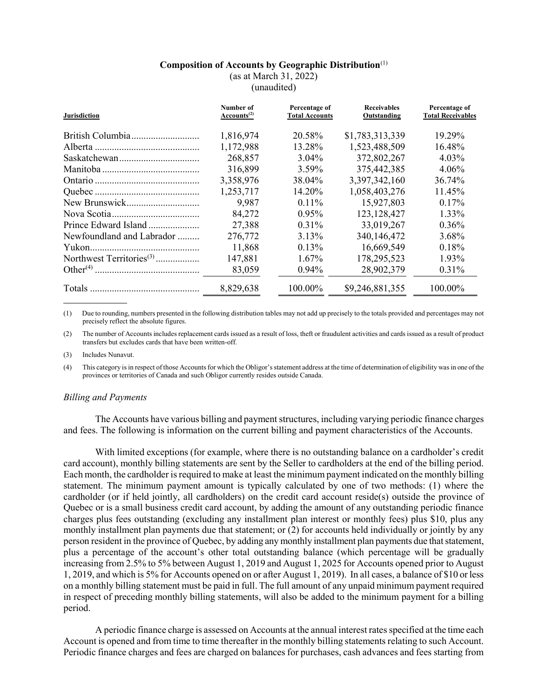#### Composition of Accounts by Geographic Distribution $^{(1)}$

(as at March 31, 2022)

(unaudited)

| <b>Jurisdiction</b>       | Number of<br>Accounts $^{(2)}$ | Percentage of<br><b>Total Accounts</b> | <b>Receivables</b><br>Outstanding | Percentage of<br><b>Total Receivables</b> |
|---------------------------|--------------------------------|----------------------------------------|-----------------------------------|-------------------------------------------|
|                           | 1,816,974                      | 20.58%                                 | \$1,783,313,339                   | 19.29%                                    |
|                           | 1,172,988                      | 13.28%                                 | 1,523,488,509                     | 16.48%                                    |
|                           | 268,857                        | $3.04\%$                               | 372,802,267                       | 4.03%                                     |
|                           | 316,899                        | 3.59%                                  | 375,442,385                       | $4.06\%$                                  |
|                           | 3,358,976                      | 38.04%                                 | 3,397,342,160                     | 36.74%                                    |
|                           | 1,253,717                      | 14.20%                                 | 1,058,403,276                     | 11.45%                                    |
|                           | 9,987                          | $0.11\%$                               | 15,927,803                        | 0.17%                                     |
|                           | 84,272                         | $0.95\%$                               | 123, 128, 427                     | 1.33%                                     |
| Prince Edward Island      | 27,388                         | $0.31\%$                               | 33,019,267                        | 0.36%                                     |
| Newfoundland and Labrador | 276,772                        | 3.13%                                  | 340,146,472                       | 3.68%                                     |
|                           | 11,868                         | $0.13\%$                               | 16,669,549                        | 0.18%                                     |
|                           | 147,881                        | $1.67\%$                               | 178,295,523                       | 1.93%                                     |
|                           | 83,059                         | $0.94\%$                               | 28,902,379                        | 0.31%                                     |
|                           | 8,829,638                      | 100.00%                                | \$9,246,881,355                   | 100.00%                                   |

(1) Due to rounding, numbers presented in the following distribution tables may not add up precisely to the totals provided and percentages may not precisely reflect the absolute figures.

(2) The number of Accounts includes replacement cards issued as a result of loss, theft or fraudulent activities and cards issued as a result of product transfers but excludes cards that have been written-off.

(3) Includes Nunavut.

(4) This category is in respect of those Accounts for which the Obligor's statement address at the time of determination of eligibility was in one of the provinces or territories of Canada and such Obligor currently resides outside Canada.

#### Billing and Payments

The Accounts have various billing and payment structures, including varying periodic finance charges and fees. The following is information on the current billing and payment characteristics of the Accounts.

With limited exceptions (for example, where there is no outstanding balance on a cardholder's credit card account), monthly billing statements are sent by the Seller to cardholders at the end of the billing period. Each month, the cardholder is required to make at least the minimum payment indicated on the monthly billing statement. The minimum payment amount is typically calculated by one of two methods: (1) where the cardholder (or if held jointly, all cardholders) on the credit card account reside(s) outside the province of Quebec or is a small business credit card account, by adding the amount of any outstanding periodic finance charges plus fees outstanding (excluding any installment plan interest or monthly fees) plus \$10, plus any monthly installment plan payments due that statement; or (2) for accounts held individually or jointly by any person resident in the province of Quebec, by adding any monthly installment plan payments due that statement, plus a percentage of the account's other total outstanding balance (which percentage will be gradually increasing from 2.5% to 5% between August 1, 2019 and August 1, 2025 for Accounts opened prior to August 1, 2019, and which is 5% for Accounts opened on or after August 1, 2019). In all cases, a balance of \$10 or less on a monthly billing statement must be paid in full. The full amount of any unpaid minimum payment required in respect of preceding monthly billing statements, will also be added to the minimum payment for a billing period.

A periodic finance charge is assessed on Accounts at the annual interest rates specified at the time each Account is opened and from time to time thereafter in the monthly billing statements relating to such Account. Periodic finance charges and fees are charged on balances for purchases, cash advances and fees starting from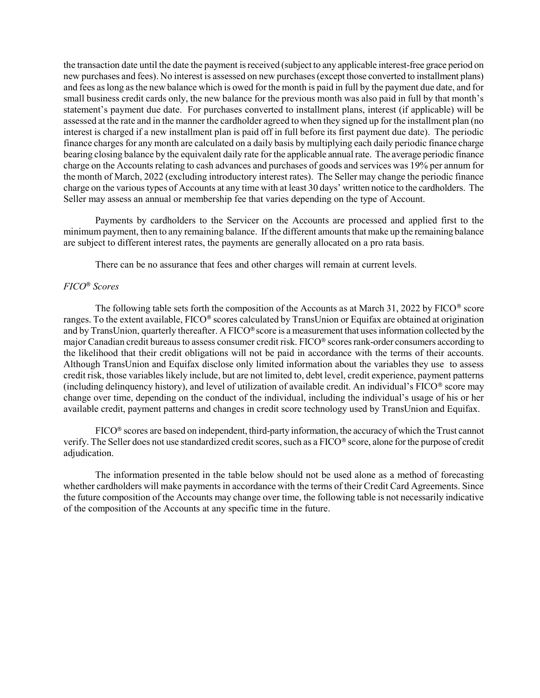the transaction date until the date the payment is received (subject to any applicable interest-free grace period on new purchases and fees). No interest is assessed on new purchases (except those converted to installment plans) and fees as long as the new balance which is owed for the month is paid in full by the payment due date, and for small business credit cards only, the new balance for the previous month was also paid in full by that month's statement's payment due date. For purchases converted to installment plans, interest (if applicable) will be assessed at the rate and in the manner the cardholder agreed to when they signed up for the installment plan (no interest is charged if a new installment plan is paid off in full before its first payment due date). The periodic finance charges for any month are calculated on a daily basis by multiplying each daily periodic finance charge bearing closing balance by the equivalent daily rate for the applicable annual rate. The average periodic finance charge on the Accounts relating to cash advances and purchases of goods and services was 19% per annum for the month of March, 2022 (excluding introductory interest rates). The Seller may change the periodic finance charge on the various types of Accounts at any time with at least 30 days' written notice to the cardholders. The Seller may assess an annual or membership fee that varies depending on the type of Account.

Payments by cardholders to the Servicer on the Accounts are processed and applied first to the minimum payment, then to any remaining balance. If the different amounts that make up the remaining balance are subject to different interest rates, the payments are generally allocated on a pro rata basis.

There can be no assurance that fees and other charges will remain at current levels.

# FICO® Scores

The following table sets forth the composition of the Accounts as at March 31, 2022 by  $FICO^@$  score ranges. To the extent available, FICO® scores calculated by TransUnion or Equifax are obtained at origination and by TransUnion, quarterly thereafter. A FICO® score is a measurement that uses information collected by the major Canadian credit bureaus to assess consumer credit risk. FICO® scores rank-order consumers according to the likelihood that their credit obligations will not be paid in accordance with the terms of their accounts. Although TransUnion and Equifax disclose only limited information about the variables they use to assess credit risk, those variables likely include, but are not limited to, debt level, credit experience, payment patterns (including delinquency history), and level of utilization of available credit. An individual's FICO® score may change over time, depending on the conduct of the individual, including the individual's usage of his or her available credit, payment patterns and changes in credit score technology used by TransUnion and Equifax.

FICO® scores are based on independent, third-party information, the accuracy of which the Trust cannot verify. The Seller does not use standardized credit scores, such as a FICO® score, alone for the purpose of credit adjudication.

The information presented in the table below should not be used alone as a method of forecasting whether cardholders will make payments in accordance with the terms of their Credit Card Agreements. Since the future composition of the Accounts may change over time, the following table is not necessarily indicative of the composition of the Accounts at any specific time in the future.